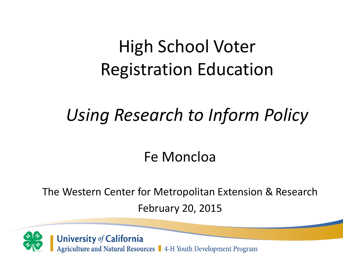#### High School Voter Registration Education

#### *Using Research to Inform Policy*

#### Fe Moncloa

The Western Center for Metropolitan Extension & Research February 20, 2015



University of California<br>Agriculture and Natural Resources | 4-H Youth Development Program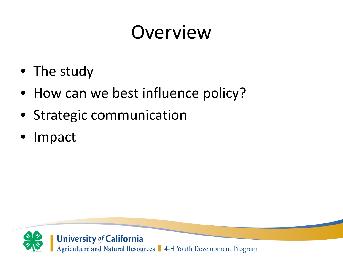## Overview

- The study
- How can we best influence policy?
- Strategic communication
- Impact

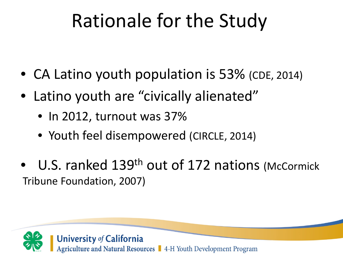## Rationale for the Study

- CA Latino youth population is 53% (CDE, 2014)
- Latino youth are "civically alienated"
	- In 2012, turnout was 37%
	- Youth feel disempowered (CIRCLE, 2014)
- U.S. ranked 139<sup>th</sup> out of 172 nations (McCormick Tribune Foundation, 2007)

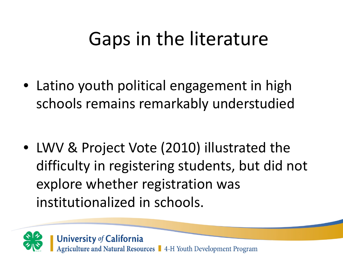#### Gaps in the literature

• Latino youth political engagement in high schools remains remarkably understudied

• LWV & Project Vote (2010) illustrated the difficulty in registering students, but did not explore whether registration was institutionalized in schools.

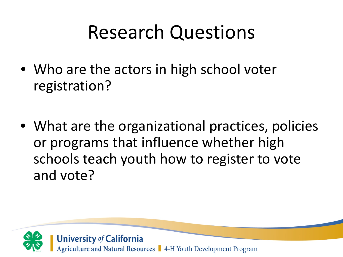#### Research Questions

- Who are the actors in high school voter registration?
- What are the organizational practices, policies or programs that influence whether high schools teach youth how to register to vote and vote?

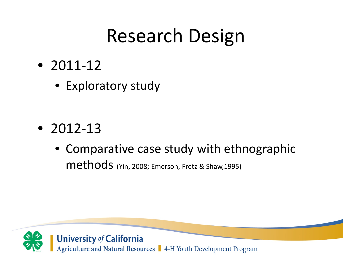#### Research Design

- 2011-12
	- Exploratory study

- 2012-13
	- Comparative case study with ethnographic methods (Yin, 2008; Emerson, Fretz & Shaw,1995)

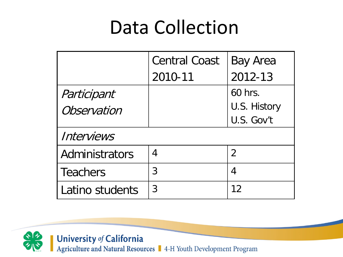#### Data Collection

|                 | <b>Central Coast</b> | <b>Bay Area</b> |
|-----------------|----------------------|-----------------|
|                 | 2010-11              | 2012-13         |
| Participant     |                      | 60 hrs.         |
| Observation     |                      | U.S. History    |
|                 |                      | U.S. Gov't      |
| Interviews      |                      |                 |
| Administrators  | 4                    | $\overline{2}$  |
| <b>Teachers</b> | 3                    | 4               |
| Latino students | 3                    | 12              |

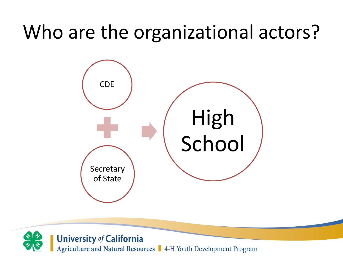### Who are the organizational actors?



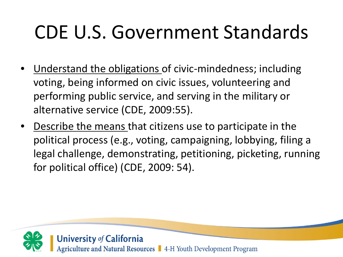## CDE U.S. Government Standards

- <u>Understand the obligations</u> of civic-mindedness; including voting, being informed on civic issues, volunteering and performing public service, and serving in the military or alternative service (CDE, 2009:55).
- Describe the means that citizens use to participate in the political process (e.g., voting, campaigning, lobbying, filing a legal challenge, demonstrating, petitioning, picketing, running for political office) (CDE, 2009: 54).

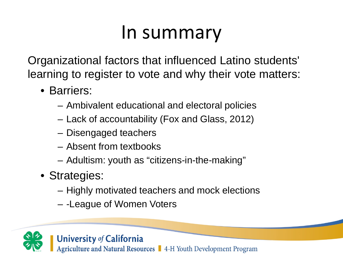#### In summary

Organizational factors that influenced Latino students' learning to register to vote and why their vote matters:

- Barriers:
	- Ambivalent educational and electoral policies
	- Lack of accountability (Fox and Glass, 2012)
	- Disengaged teachers
	- Absent from textbooks
	- Adultism: youth as "citizens-in-the-making"
- Strategies:
	- Highly motivated teachers and mock elections
	- -League of Women Voters

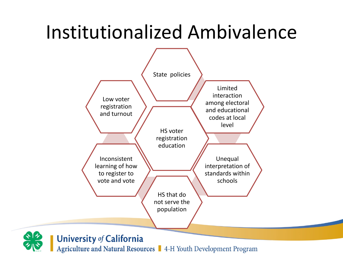#### Institutionalized Ambivalence



**University of California** 

Agriculture and Natural Resources | 4-H Youth Development Program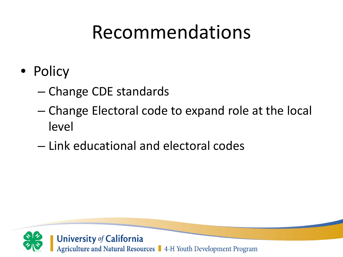#### Recommendations

- Policy
	- Change CDE standards
	- Change Electoral code to expand role at the local level
	- Link educational and electoral codes

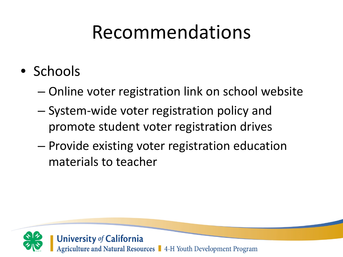#### Recommendations

- Schools
	- Online voter registration link on school website
	- System-wide voter registration policy and promote student voter registration drives
	- Provide existing voter registration education materials to teacher

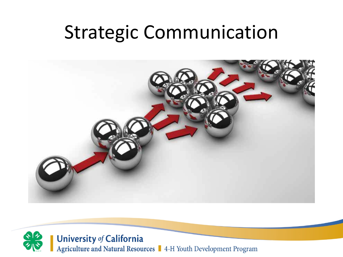#### Strategic Communication



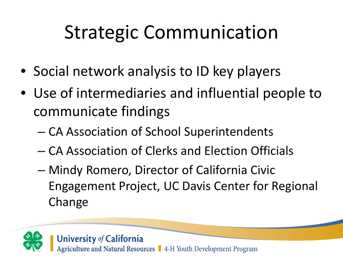## Strategic Communication

- Social network analysis to ID key players
- Use of intermediaries and influential people to communicate findings
	- CA Association of School Superintendents
	- CA Association of Clerks and Election Officials
	- Mindy Romero, Director of California Civic Engagement Project, UC Davis Center for Regional Change

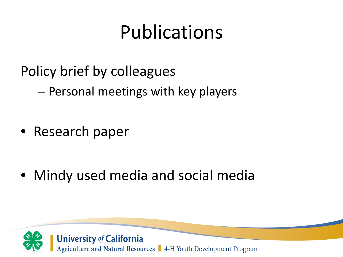#### Publications

Policy brief by colleagues

– Personal meetings with key players

• Research paper

• Mindy used media and social media

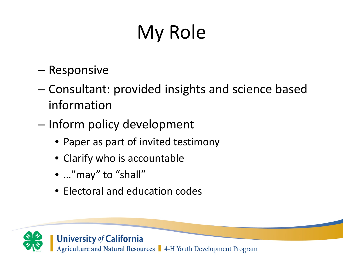# My Role

- Responsive
- Consultant: provided insights and science based information
- Inform policy development
	- Paper as part of invited testimony
	- Clarify who is accountable
	- ..."may" to "shall"
	- Electoral and education codes

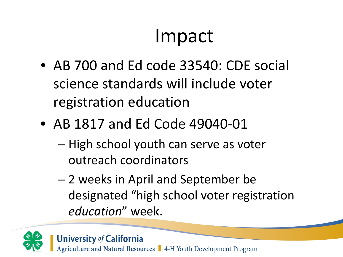#### Impact

- AB 700 and Ed code 33540: CDE social science standards will include voter registration education
- AB 1817 and Ed Code 49040-01
	- High school youth can serve as voter outreach coordinators
	- 2 weeks in April and September be designated "high school voter registration *education*" week.